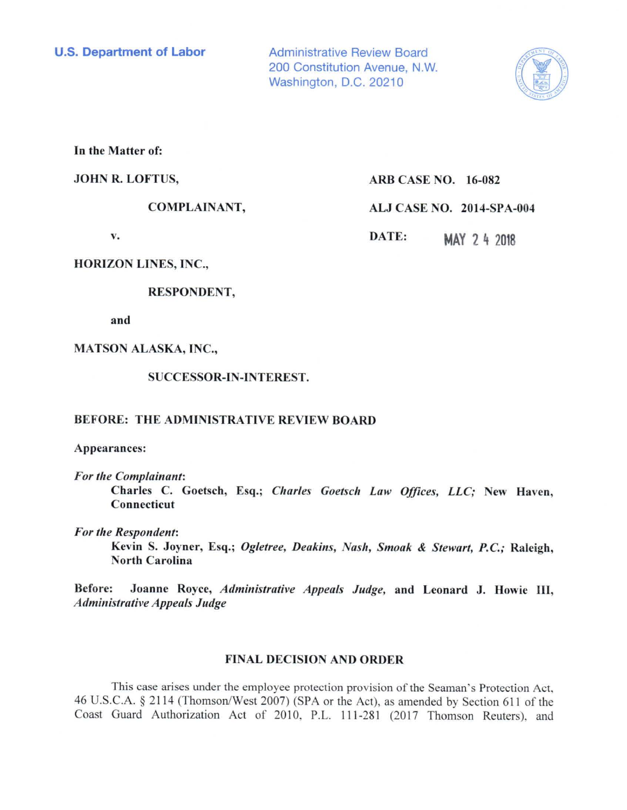Administrative Review Board 200 Constitution Avenue, N.W. Washington, D.C. 20210



In **the Matter of:** 

## **JOHN R. LOFTUS,**

**COMPLAINANT,** 

**v.** 

**ALJ CASE NO. 2014-SPA-004 DATE: MAY 2** ~ <sup>2018</sup>

**ARB CASE NO. 16-082** 

**HORIZON LINES, INC.,** 

**RESPONDENT,** 

and

MATSON ALASKA, INC.,

SUCCESSOR-IN-INTEREST.

# BEFORE: THE ADMINISTRATIVE REVIEW BOARD

Appearances:

*For the Complainant:* 

Charles C. Goetsch, Esq.; *Charles Goetsch Law Offices, LLC;* New Haven, Connecticut

*For the Respondent:* 

Kevin S. Joyner, Esq.; *Ogletree, Deakins, Nash, Smoak* & *Stewart, P.C.;* Raleigh, **North** Carolina

**Before: Joanne Royce,** *Administrative Appeals Judge,* **and Leonard J. Howie** III, *Administrative Appeals Judge* 

# **FINAL DECISION AND ORDER**

This case arises under the employee protection provision of the Seaman's Protection Act, 46 U.S.C.A. § 21 14 (Thomson/West 2007) (SPA or the Act), as amended by Section 611 of the Coast Guard Authorization Act of 2010, P.L. 111-281 (2017 Thomson Reuters), and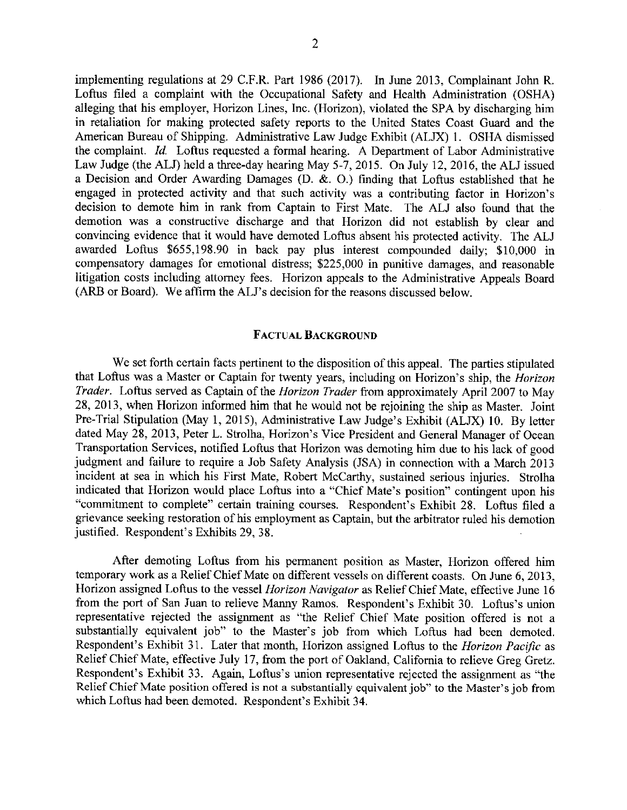implementing regulations at 29 C.F.R. Part 1986 (2017). In June 2013, Complainant John R. Loftus filed a complaint with the Occupational Safety and Health Administration (OSHA) alleging that his employer, Horizon Lines, Inc. (Horizon), violated the SPA by discharging him in retaliation for making protected safety reports to the United States Coast Guard and the American Bureau of Shipping. Administrative Law Judge Exhibit (ALJX) 1. OSHA dismissed the complaint. *Id.* Loftus requested a formal hearing. A Department of Labor Administrative Law Judge (the ALJ) held a three-day hearing May 5-7, 2015. On July 12, 2016, the ALJ issued a Decision and Order Awarding Damages (D. &. 0.) finding that Loftus established that he engaged in protected activity and that such activity was a contributing factor in Horizon's decision to demote him in rank from Captain to First Mate. The ALJ also found that the demotion was a constructive discharge and that Horizon did not establish by clear and convincing evidence that it would have demoted Loftus absent his protected activity. The ALJ awarded Loftus \$655,198.90 in back pay plus interest compounded daily; \$10,000 in compensatory damages for emotional distress; \$225,000 in punitive damages, and reasonable litigation costs including attorney fees. Horizon appeals to the Administrative Appeals Board (ARB or Board). We affirm the ALJ's decision for the reasons discussed below.

### **FACTUAL BACKGROUND**

We set forth certain facts pertinent to the disposition of this appeal. The parties stipulated that Loftus was a Master or Captain for twenty years, including on Horizon's ship, the *Horizon Trader.* Loftus served as Captain of the *Horizon Trader* from approximately April 2007 to May 28, 2013, when Horizon informed him that he would not be rejoining the ship as Master. Joint Pre-Trial Stipulation (May 1, 2015), Administrative Law Judge's Exhibit (ALJX) 10. By letter dated May 28, 2013, Peter L. Strolha, Horizon's Vice President and General Manager of Ocean Transportation Services, notified Loftus that Horizon was demoting him due to his lack of good judgment and failure to require a Job Safety Analysis (JSA) in connection with a March 2013 incident at sea in which his First Mate, Robert McCarthy, sustained serious injuries. Strolha indicated that Horizon would place Loftus into a "Chief Mate's position" contingent upon his "commitment to complete" certain training courses. Respondent's Exhibit 28. Loftus filed a grievance seeking restoration of his employment as Captain, but the arbitrator ruled his demotion justified. Respondent's Exhibits 29, 38.

After demoting Loftus from his permanent position as Master, Horizon offered him temporary work as a Relief Chief Mate on different vessels on different coasts. On June 6, 2013, Horizon assigned Loftus to the vessel *Horizon Navigator* as Relief Chief Mate, effective June 16 from the port of San Juan to relieve Manny Ramos. Respondent's Exhibit 30. Loftus's union representative rejected the assignment as "the Relief Chief Mate position offered is not a substantially equivalent job" to the Master's job from which Loftus had been demoted. Respondent's Exhibit 31. Later that month, Horizon assigned Loftus to the *Horizon Pac/fie* as Relief Chief Mate, effective July 17, from the port of Oakland, California to relieve Greg Gretz. Respondent's Exhibit 33. Again, Loftus's union representative rejected the assignment as "the Relief Chief Mate position offered is not a substantially equivalent job" to the Master's job from which Loftus had been demoted. Respondent's Exhibit 34.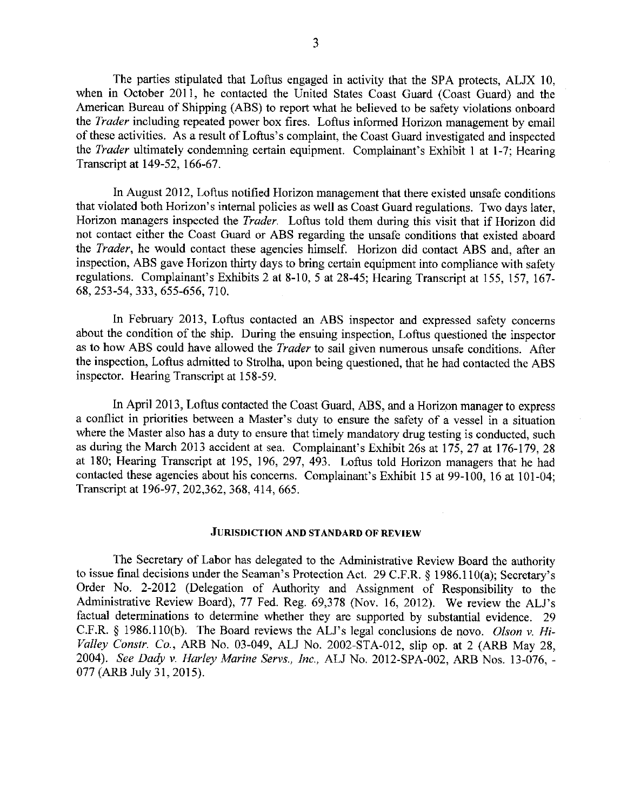The parties stipulated that Loftus engaged in activity that the SPA protects, ALJX 10, when in October 2011, he contacted the United States Coast Guard (Coast Guard) and the American Bureau of Shipping (ABS) to report what he believed to be safety violations onboard the *Trader* including repeated power box fires. Loftus informed Horizon management by email of these activities. As a result of Loftus's complaint, the Coast Guard investigated and inspected the *Trader* ultimately condemning certain equipment. Complainant's Exhibit 1 at 1-7; Hearing Transcript at 149-52, 166-67.

In August 2012, Loftus notified Horizon management that there existed unsafe conditions that violated both Horizon's internal policies as well as Coast Guard regulations. Two days later, Horizon managers inspected the *Trader.* Loftus told them during this visit that if Horizon did not contact either the Coast Guard or ABS regarding the unsafe conditions that existed aboard the *Trader,* he would contact these agencies himself. Horizon did contact ABS and, after an inspection, ABS gave Horizon thirty days to bring certain equipment into compliance with safety regulations. Complainant's Exhibits 2 at 8-10, 5 at 28-45; Hearing Transcript at 155, 157, 167- 68, 253-54, 333, 655-656, 710.

In February 2013, Loftus contacted an ABS inspector and expressed safety concerns about the condition of the ship. During the ensuing inspection, Loftus questioned the inspector as to how ABS could have allowed the *Trader* to sail given numerous unsafe conditions. After the inspection, Loftus admitted to Strolha, upon being questioned, that he had contacted the ABS inspector. Hearing Transcript at 158-59.

In April 2013, Loftus contacted the Coast Guard, ABS, and a Horizon manager to express a conflict in priorities between a Master's duty to ensure the safety of a vessel in a situation where the Master also has a duty to ensure that timely mandatory drug testing is conducted, such as during the March 2013 accident at sea. Complainant's Exhibit 26s at 175, 27 at 176-179, 28 at 180; Hearing Transcript at 195, 196, 297, 493. Loftus told Horizon managers that he had contacted these agencies about his concerns. Complainant's Exhibit 15 at 99-100, 16 at 101-04; Transcript at 196-97, 202,362,368,414,665.

#### **JURISDICTION AND STANDARD OF REVIEW**

The Secretary of Labor has delegated to the Administrative Review Board the authority to issue final decisions under the Seaman's Protection Act. 29 C.F.R. § 1986.1 l0(a); Secretary's Order No. 2-2012 (Delegation of Authority and Assignment of Responsibility to the Administrative Review Board), 77 Fed. Reg. 69,378 (Nov. 16, 2012). We review the ALJ's factual determinations to determine whether they are supported by substantial evidence. 29 C.F.R. § 1986.l l0(b). The Board reviews the ALJ's legal conclusions de novo. *Olson v. Hi-Valley Constr. Co.,* ARB No. 03-049, ALJ No. 2002-STA-012, slip op. at 2 (ARB May 28, 2004). *See Dady v. Harley Marine Servs., Inc.,* ALJ No. 2012-SPA-002, ARB Nos. 13-076, - 077 (ARB July 31, 2015).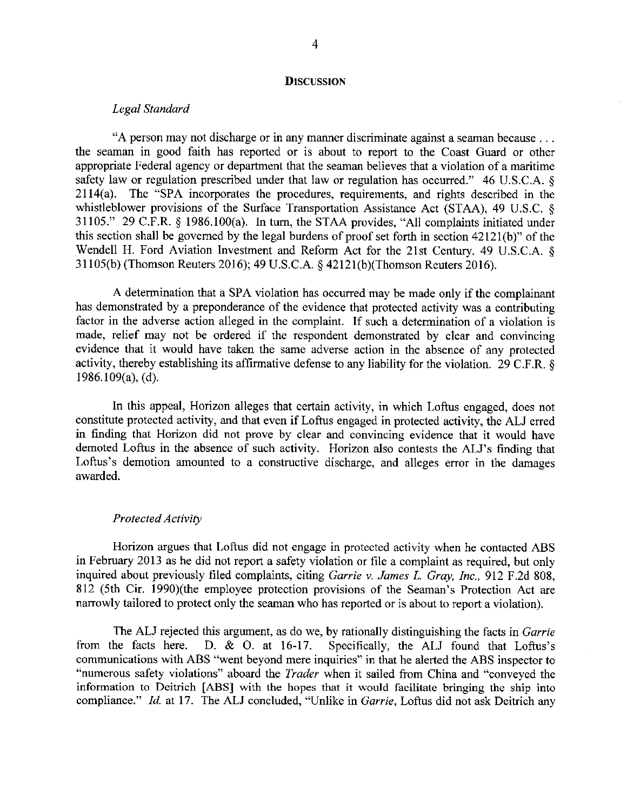#### **DISCUSSION**

### *Legal Standard*

"A person may not discharge or in any manner discriminate against a seaman because ... the seaman in good faith has reported or is about to report to the Coast Guard or other appropriate Federal agency or department that the seaman believes that a violation of a maritime safety law or regulation prescribed under that law or regulation has occurred." 46 U.S.C.A. § 2114(a). The "SPA incorporates the procedures, requirements, and rights described in the whistleblower provisions of the Surface Transportation Assistance Act (STAA), 49 U.S.C. § 31105." 29 C.F.R. § 1986.l00(a). In turn, the STAA provides, "All complaints initiated under this section shall be governed by the legal burdens of proof set forth in section 4212l(b)" of the Wendell H. Ford Aviation Investment and Reform Act for the 21st Century. 49 U.S.C.A. § 31105(b) (Thomson Reuters 2016); 49 U.S.C.A. § 42121(b)(Thomson Reuters 2016).

A determination that a SPA violation has occurred may be made only if the complainant has demonstrated by a preponderance of the evidence that protected activity was a contributing factor in the adverse action alleged in the complaint. If such a determination of a violation is made, relief may not be ordered if the respondent demonstrated by clear and convincing evidence that it would have taken the same adverse action in the absence of any protected activity, thereby establishing its affirmative defense to any liability for the violation. 29 C.F.R. § 1986.109(a), (d).

In this appeal, Horizon alleges that certain activity, in which Loftus engaged, does not constitute protected activity, and that even if Loftus engaged in protected activity, the ALJ erred in finding that Horizon did not prove by clear and convincing evidence that it would have demoted Loftus in the absence of such activity. Horizon also contests the ALJ's finding that Loftus's demotion amounted to a constructive discharge, and alleges error in the damages awarded.

### *Protected Activity*

Horizon argues that Loftus did not engage in protected activity when he contacted ABS in February 2013 as he did not report a safety violation or file a complaint as required, but only inquired about previously filed complaints, citing *Carrie v. James* L. *Gray, Inc.,* 912 F.2d 808, 812 (5th Cir. 1990)(the employee protection provisions of the Seaman's Protection Act are narrowly tailored to protect only the seaman who has reported or is about to report a violation).

The ALJ rejected this argument, as do we, by rationally distinguishing the facts in *Garrie* from the facts here. D. & O. at 16-17. Specifically, the ALJ found that Loftus's Specifically, the ALJ found that Loftus's communications with ABS "went beyond mere inquiries" in that he alerted the ABS inspector to "numerous safety violations" aboard the *Trader* when it sailed from China and "conveyed the information to Deitrich [ABS] with the hopes that it would facilitate bringing the ship into compliance." *Id.* at 17. The ALJ concluded, "Unlike in *Garrie,* Loftus did not ask Deitrich any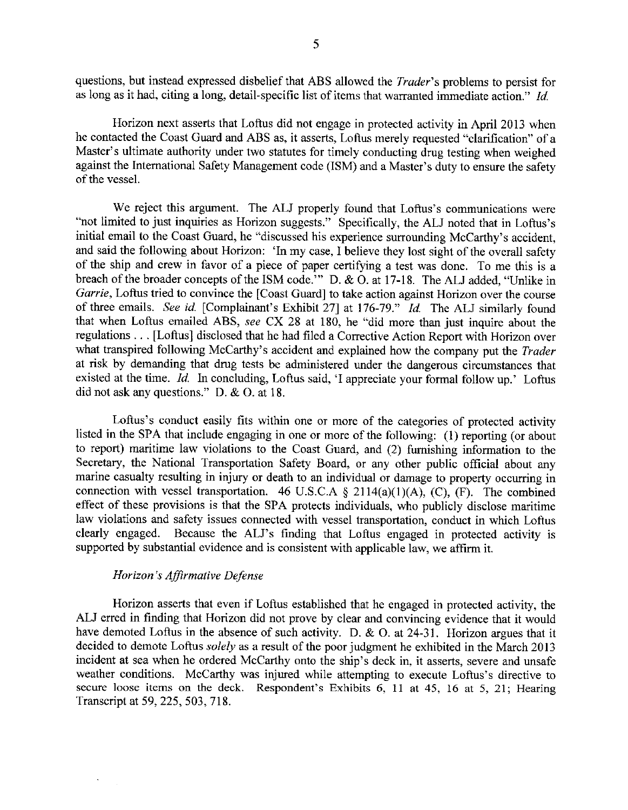questions, but instead expressed disbelief that ABS allowed the *Trader's* problems to persist for as long as it had, citing a long, detail-specific list of items that warranted immediate action." *Id* 

Horizon next asserts that Loftus did not engage in protected activity in April 2013 when he contacted the Coast Guard and ABS as, it asserts, Loftus merely requested "clarification" of a Master's ultimate authority under two statutes for timely conducting drug testing when weighed against the International Safety Management code (ISM) and a Master's duty to ensure the safety of the vessel.

We reject this argument. The ALJ properly found that Loftus's communications were "not limited to just inquiries as Horizon suggests." Specifically, the ALJ noted that in Loftus's initial email to the Coast Guard, he "discussed his experience surrounding McCarthy's accident, and said the following about Horizon: 'In my case, I believe they lost sight of the overall safety of the ship and crew in favor of a piece of paper certifying a test was done. To me this is a breach of the broader concepts of the ISM code." D. & O. at 17-18. The ALJ added, "Unlike in *Garrie*, Loftus tried to convince the [Coast Guard] to take action against Horizon over the course of three emails. *See id* [Complainant's Exhibit 27] at 176-79." *Id* The ALJ similarly found that when Loftus emailed ABS, *see* CX 28 at 180, he "did more than just inquire about the regulations ... [Loftus] disclosed that he had filed a Corrective Action Report with Horizon over what transpired following McCarthy's accident and explained how the company put the *Trader*  at risk by demanding that drug tests be administered under the dangerous circumstances that existed at the time. *Id.* In concluding, Loftus said, 'I appreciate your formal follow up.' Loftus did not ask any questions." D. & 0. at 18.

Loftus's conduct easily fits within one or more of the categories of protected activity listed in the SPA that include engaging in one or more of the following: (1) reporting (or about to report) maritime law violations to the Coast Guard, and (2) furnishing information to the Secretary, the National Transportation Safety Board, or any other public official about any marine casualty resulting in injury or death to an individual or damage to property occurring in connection with vessel transportation. 46 U.S.C.A  $\S$  2114(a)(1)(A), (C), (F). The combined effect of these provisions is that the SPA protects individuals, who publicly disclose maritime law violations and safety issues connected with vessel transportation, conduct in which Loftus clearly engaged. Because the ALJ's finding that Loftus engaged in protected activity is supported by substantial evidence and is consistent with applicable law, we affirm it.

## *Horizon's Affirmative Defense*

Horizon asserts that even if Loftus established that he engaged in protected activity, the ALJ erred in finding that Horizon did not prove by clear and convincing evidence that it would have demoted Loftus in the absence of such activity. D. & O. at 24-31. Horizon argues that it decided to demote Loftus *solely* as a result of the poor judgment he exhibited in the March 2013 incident at sea when he ordered McCarthy onto the ship's deck in, it asserts, severe and unsafe weather conditions. McCarthy was injured while attempting to execute Loftus's directive to secure loose items on the deck. Respondent's Exhibits 6, 11 at 45, 16 at 5, 21; Hearing Transcript at 59,225,503, 718.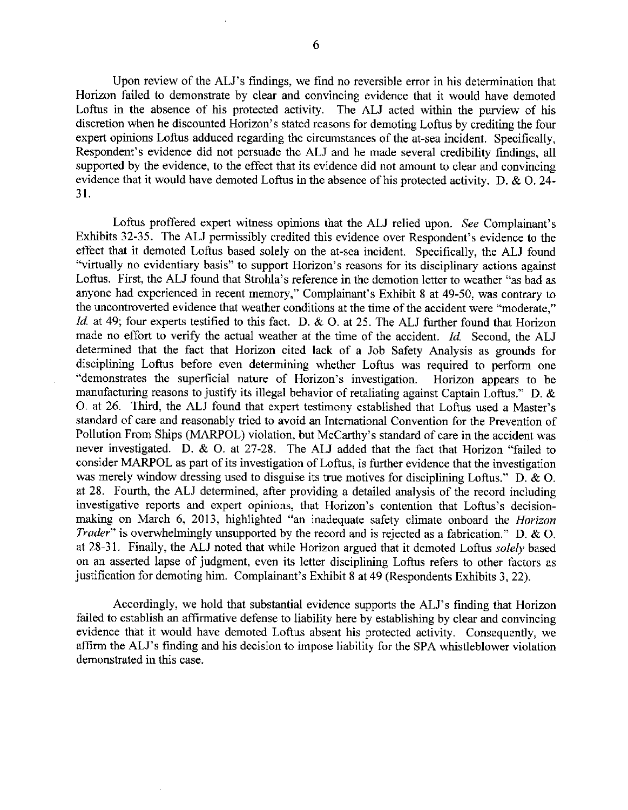Upon review of the ALJ's findings, we find no reversible error in his determination that Horizon failed to demonstrate by clear and convincing evidence that it would have demoted Loftus in the absence of his protected activity. The ALJ acted within the purview of his discretion when he discounted Horizon's stated reasons for demoting Loftus by crediting the four expert opinions Loftus adduced regarding the circumstances of the at-sea incident. Specifically, Respondent's evidence did not persuade the ALJ and he made several credibility findings, all supported by the evidence, to the effect that its evidence did not amount to clear and convincing evidence that it would have demoted Loftus in the absence of his protected activity. D.  $\&$  O. 24-31.

Loftus proffered expert witness opinions that the ALJ relied upon. *See* Complainant's Exhibits 32-35. The ALJ permissibly credited this evidence over Respondent's evidence to the effect that it demoted Loftus based solely on the at-sea incident. Specifically, the ALJ found "virtually no evidentiary basis" to support Horizon's reasons for its disciplinary actions against Loftus. First, the ALJ found that Strohla's reference in the demotion letter to weather "as bad as anyone had experienced in recent memory," Complainant's Exhibit 8 at 49-50, was contrary to the uncontroverted evidence that weather conditions at the time of the accident were "moderate," *Id.* at 49; four experts testified to this fact. D. & O. at 25. The ALJ further found that Horizon made no effort to verify the actual weather at the time of the accident. *Id.* Second, the ALJ determined that the fact that Horizon cited lack of a Job Safety Analysis as grounds for disciplining Loftus before even determining whether Loftus was required to perform one "demonstrates the superficial nature of Horizon's investigation. Horizon appears to be manufacturing reasons to justify its illegal behavior of retaliating against Captain Loftus." D. & 0. at 26. Third, the ALJ found that expert testimony established that Loftus used a Master's standard of care and reasonably tried to avoid an International Convention for the Prevention of Pollution From Ships (MARPOL) violation, but McCarthy's standard of care in the accident was never investigated. D. & 0. at 27-28. The ALJ added that the fact that Horizon "failed to consider MARPOL as part of its investigation of Loftus, is further evidence that the investigation was merely window dressing used to disguise its true motives for disciplining Loftus." D. & 0. at 28. Fourth, the ALJ determined, after providing a detailed analysis of the record including investigative reports and expert opinions, that Horizon's contention that Loftus's decisionmaking on March 6, 2013, highlighted "an inadequate safety climate onboard the *Horizon Trader*" is overwhelmingly unsupported by the record and is rejected as a fabrication." D. & O. at 28-31. Finally, the ALJ noted that while Horizon argued that it demoted Loftus *solely* based on an asserted lapse of judgment, even its letter disciplining Loftus refers to other factors as justification for demoting him. Complainant's Exhibit 8 at 49 (Respondents Exhibits 3, 22).

Accordingly, we hold that substantial evidence supports the ALJ's finding that Horizon failed to establish an affirmative defense to liability here by establishing by clear and convincing evidence that it would have demoted Loftus absent his protected activity. Consequently, we affirm the ALJ's finding and his decision to impose liability for the SPA whistleblower violation demonstrated in this case.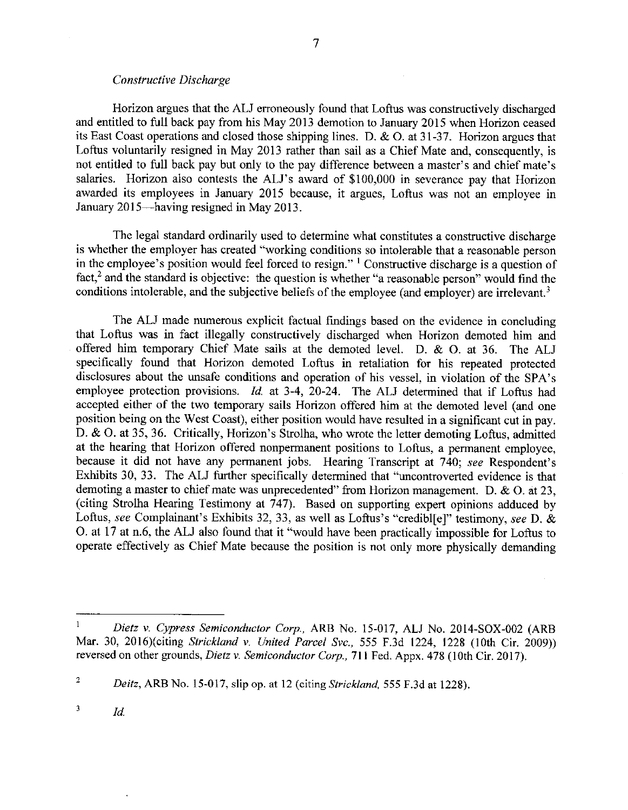Horizon argues that the ALJ erroneously found that Loftus was constructively discharged and entitled to full back pay from his May 2013 demotion to January 2015 when Horizon ceased its East Coast operations and closed those shipping lines. D. & 0. at 31-37. Horizon argues that Loftus voluntarily resigned in May 2013 rather than sail as a Chief Mate and, consequently, is not entitled to full back pay but only to the pay difference between a master's and chief mate's salaries. Horizon also contests the ALJ's award of \$100,000 in severance pay that Horizon awarded its employees in January 2015 because, it argues, Loftus was not an employee in January 2015—having resigned in May 2013.

7

The legal standard ordinarily used to determine what constitutes a constructive discharge is whether the employer has created "working conditions so intolerable that a reasonable person in the employee's position would feel forced to resign."  $\frac{1}{1}$  Constructive discharge is a question of fact,<sup>2</sup> and the standard is objective: the question is whether "a reasonable person" would find the conditions intolerable, and the subjective beliefs of the employee (and employer) are irrelevant.<sup>3</sup>

The ALJ made numerous explicit factual findings based on the evidence in concluding that Loftus was in fact illegally constructively discharged when Horizon demoted him and offered him temporary Chief Mate sails at the demoted level. D. & 0. at 36. The ALJ specifically found that Horizon demoted Loftus in retaliation for his repeated protected disclosures about the unsafe conditions and operation of his vessel, in violation of the SPA's employee protection provisions. *Id.* at 3-4, 20-24. The ALJ determined that if Loftus had accepted either of the two temporary sails Horizon offered him at the demoted level (and one position being on the West Coast), either position would have resulted in a significant cut in pay. D. & 0. at 35, 36. Critically, Horizon's Strolha, who wrote the letter demoting Loftus, admitted at the hearing that Horizon offered nonpermanent positions to Loftus, a permanent employee, because it did not have any permanent jobs. Hearing Transcript at 740; *see* Respondent's Exhibits 30, 33. The ALJ further specifically determined that "uncontroverted evidence is that demoting a master to chief mate was unprecedented" from Horizon management. D. & 0. at 23, (citing Strolha Hearing Testimony at 747). Based on supporting expert opinions adduced by Loftus, *see* Complainant's Exhibits 32, 33, as well as Loftus's "credibl[e]" testimony, *see* D. & 0. at 17 at n.6, the ALJ also found that it "would have been practically impossible for Loftus to operate effectively as Chief Mate because the position is not only more physically demanding

 $\mathbf{1}$ *Dietz v. Cypress Semiconductor Corp.,* ARB No. 15-017, ALJ No. 2014-SOX-002 (ARB Mar. 30, 2016)(citing *Strickland v. United Parcel Svc.,* 555 F.3d 1224, 1228 (10th Cir. 2009)) reversed on other grounds, *Dietz v. Semiconductor Corp.,* 711 Fed. Appx. 478 (10th Cir. 2017).

<sup>2</sup>*Deitz,* ARB No. 15-017, slip op. at 12 (citing *Strickland,* 555 F.3d at 1228).

 $\frac{3}{10}$  *Id.*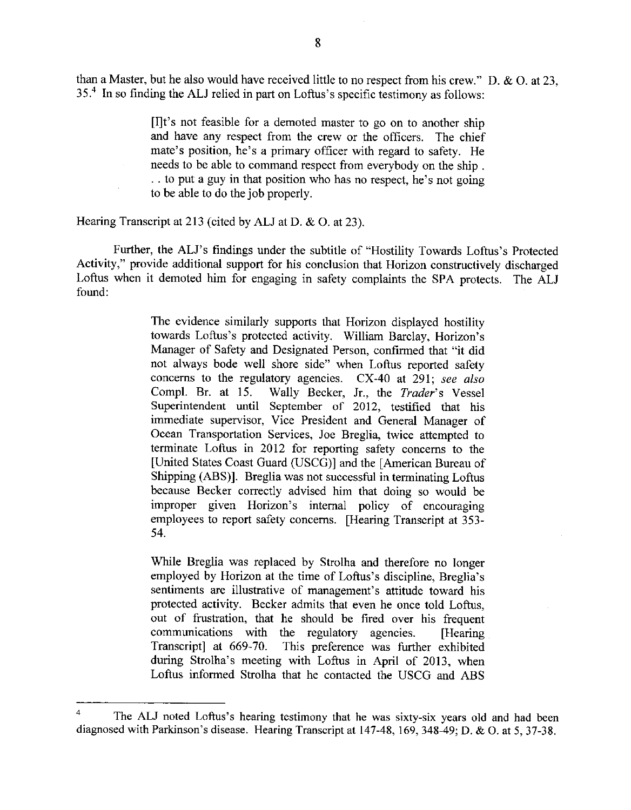than a Master, but he also would have received little to no respect from his crew." D. & 0. at 23, 35.<sup>4</sup> In so finding the ALJ relied in part on Loftus's specific testimony as follows:

> [I]t's not feasible for a demoted master to go on to another ship and have any respect from the crew or the officers. The chief mate's position, he's a primary officer with regard to safety. He needs to be able to command respect from everybody on the ship . . . to put a guy in that position who has no respect, he's not going to be able to do the job properly.

Hearing Transcript at 213 (cited by ALJ at D. & O. at 23).

Further, the ALJ's findings under the subtitle of "Hostility Towards Loftus's Protected Activity," provide additional support for his conclusion that Horizon constructively discharged Loftus when it demoted him for engaging in safety complaints the SPA protects. The ALJ found:

> The evidence similarly supports that Horizon displayed hostility towards Loftus's protected activity. William Barclay, Horizon's Manager of Safety and Designated Person, confirmed that "it did not always bode well shore side" when Loftus reported safety concerns to the regulatory agencies. CX-40 at 291; *see also*  Wally Becker, Jr., the *Trader's* Vessel Superintendent until September of 2012, testified that his immediate supervisor, Vice President and General Manager of Ocean Transportation Services, Joe Breglia, twice attempted to terminate Loftus in 2012 for reporting safety concerns to the [United States Coast Guard (USCG)] and the [American Bureau of Shipping (ABS)]. Breglia was not successful in terminating Loftus because Becker correctly advised him that doing so would be improper given Horizon's internal policy of encouraging employees to report safety concerns. [Hearing Transcript at 353- 54.

> While Breglia was replaced by Strolha and therefore no longer employed by Horizon at the time of Loftus's discipline, Breglia's sentiments are illustrative of management's attitude toward his protected activity. Becker admits that even he once told Loftus, out of frustration, that he should be fired over his frequent communications with the regulatory agencies. [Hearing Transcript] at 669-70. This preference was further exhibited This preference was further exhibited during Strolha's meeting with Loftus in April of 2013, when Loftus informed Strolha that he contacted the USCG and ABS

The ALJ noted Loftus's hearing testimony that he was sixty-six years old and had been diagnosed with Parkinson's disease. Hearing Transcript at 147-48, 169, 348-49; D. & 0. at 5, 37-38.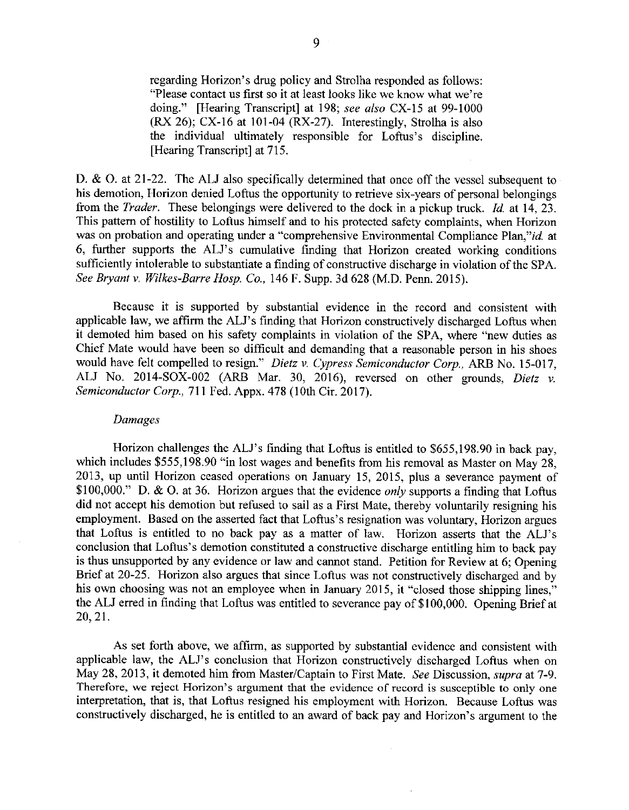regarding Horizon's drug policy and Strolha responded as follows: "Please contact us first so it at least looks like we know what we're doing." [Hearing Transcript] at 198; *see also* CX-15 at 99-1000 (RX 26); CX-16 at 101-04 (RX-27). Interestingly, Strolha is also the individual ultimately responsible for Loftus's discipline. [Hearing Transcript] at 715.

D. & O. at 21-22. The ALJ also specifically determined that once off the vessel subsequent to his demotion, Horizon denied Loftus the opportunity to retrieve six-years of personal belongings from the *Trader.* These belongings were delivered to the dock in a pickup truck. *Id.* at 14, 23. This pattern of hostility to Loftus himself and to his protected safety complaints, when Horizon was on probation and operating under a "comprehensive Environmental Compliance Plan,"id. at 6, further supports the ALJ's cumulative finding that Horizon created working conditions sufficiently intolerable to substantiate a finding of constructive discharge in violation of the SPA. *See Bryant v. Wilkes-Barre Hosp. Co.,* 146 F. Supp. 3d 628 (M.D. Penn. 2015).

Because it is supported by substantial evidence in the record and consistent with applicable law, we affirm the ALJ's finding that Horizon constructively discharged Loftus when it demoted him based on his safety complaints in violation of the SPA, where "new duties as Chief Mate would have been so difficult and demanding that a reasonable person in his shoes would have felt compelled to resign." *Dietz v. Cypress Semiconductor Corp.,* ARB No. 15-017, ALJ No. 2014-SOX-002 (ARB Mar. 30, 2016), reversed on other grounds, *Dietz v. Semiconductor Corp.,* 711 Fed. Appx. 478 (10th Cir. 2017).

#### *Damages*

Horizon challenges the ALJ's finding that Loftus is entitled to \$655,198.90 in back pay, which includes \$555,198.90 "in lost wages and benefits from his removal as Master on May 28, 2013, up until Horizon ceased operations on January 15, 2015, plus a severance payment of \$100,000." D. & 0. at 36. Horizon argues that the evidence *only* supports a finding that Loftus did not accept his demotion but refused to sail as a First Mate, thereby voluntarily resigning his employment. Based on the asserted fact that Loftus's resignation was voluntary, Horizon argues that Loftus is entitled to no back pay as a matter of law. Horizon asserts that the ALJ's conclusion that Loftus's demotion constituted a constructive discharge entitling him to back pay is thus unsupported by any evidence or law and cannot stand. Petition for Review at 6; Opening Brief at 20-25. Horizon also argues that since Loftus was not constructively discharged and by his own choosing was not an employee when in January 2015, it "closed those shipping lines," the ALJ erred in finding that Loftus was entitled to severance pay of \$100,000. Opening Brief at 20, 21.

As set forth above, we affirm, as supported by substantial evidence and consistent with applicable law, the ALJ's conclusion that Horizon constructively discharged Loftus when on May 28, 2013, it demoted him from Master/Captain to First Mate. *See* Discussion, *supra* at 7-9. Therefore, we reject Horizon's argument that the evidence of record is susceptible to only one interpretation, that is, that Loftus resigned his employment with Horizon. Because Loftus was constructively discharged, he is entitled to an award of back pay and Horizon's argument to the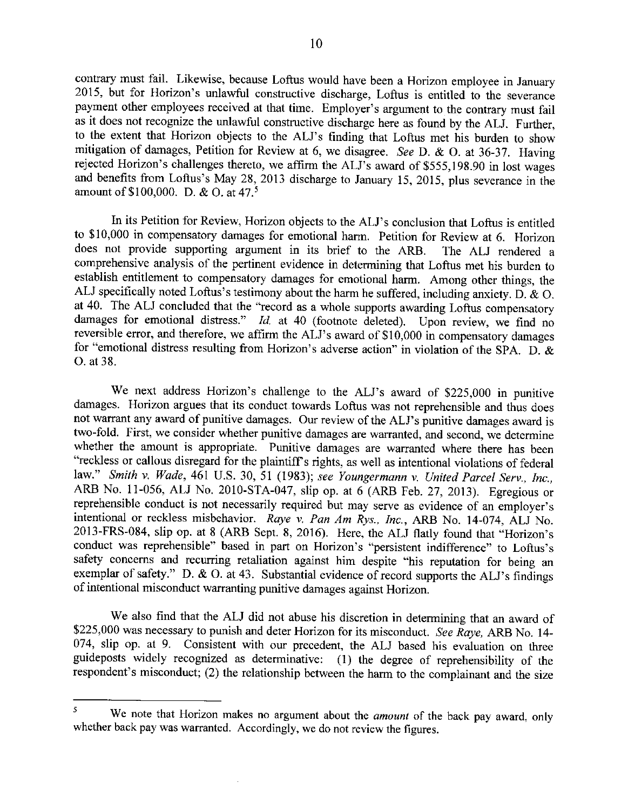contrary must fail. Likewise, because Loftus would have been a Horizon employee in January 2015, but for Horizon's unlawful constructive discharge, Loftus is entitled to the severance payment other employees received at that time. Employer's argument to the contrary must fail as it does not recognize the unlawful constructive discharge here as found by the ALJ. Further, to the extent that Horizon objects to the ALJ's finding that Loftus met his burden to show mitigation of damages, Petition for Review at 6, we disagree. *See* D. & 0. at 36-37. Having rejected Horizon's challenges thereto, we affirm the ALJ's award of \$555,198.90 in lost wages and benefits from Loftus's May 28, 2013 discharge to January 15, 2015, plus severance in the amount of \$100,000. D. & O. at 47.<sup>5</sup>

In its Petition for Review, Horizon objects to the ALJ's conclusion that Loftus is entitled to \$10,000 in compensatory damages for emotional harm. Petition for Review at 6. Horizon does not provide supporting argument in its brief to the ARB. The ALJ rendered a comprehensive analysis of the pertinent evidence in determining that Loftus met his burden to establish entitlement to compensatory damages for emotional harm. Among other things, the ALJ specifically noted Loftus's testimony about the harm he suffered, including anxiety. D. & 0. at 40. The ALJ concluded that the "record as a whole supports awarding Loftus compensatory damages for emotional distress." *Id.* at 40 (footnote deleted). Upon review, we find no reversible error, and therefore, we affirm the ALJ's award of \$10,000 in compensatory damages for "emotional distress resulting from Horizon's adverse action" in violation of the SPA. D. & 0. at 38.

We next address Horizon's challenge to the ALJ's award of \$225,000 in punitive damages. Horizon argues that its conduct towards Loftus was not reprehensible and thus does not warrant any award of punitive damages. Our review of the ALJ's punitive damages award is two-fold. First, we consider whether punitive damages are warranted, and second, we determine whether the amount is appropriate. Punitive damages are warranted where there has been "reckless or callous disregard for the plaintiff's rights, as well as intentional violations of federal law." *Smith v. Wade,* 461 U.S. 30, 51 (1983); *see Youngermann v. United Parcel Serv., Inc.,*  ARB No. 11-056, ALJ No. 2010-STA-047, slip op. at 6 (ARB Feb. 27, 2013). Egregious or reprehensible conduct is not necessarily required but may serve as evidence of an employer's intentional or reckless misbehavior. *Raye v. Pan Am Rys., Inc.,* ARB No. 14-074, ALJ No. 2013-FRS-084, slip op. at 8 (ARB Sept. 8, 2016). Here, the ALJ flatly found that "Horizon's conduct was reprehensible" based in part on Horizon's "persistent indifference" to Loftus's safety concerns and recurring retaliation against him despite "his reputation for being an exemplar of safety." D. & O. at 43. Substantial evidence of record supports the ALJ's findings of intentional misconduct warranting punitive damages against Horizon.

We also find that the ALJ did not abuse his discretion in determining that an award of \$225,000 was necessary to punish and deter Horizon for its misconduct. *See Raye,* ARB No. I 4- 074, slip op. at 9. Consistent with our precedent, the ALJ based his evaluation on three guideposts widely recognized as determinative: (I) the degree of reprehensibility of the respondent's misconduct; (2) the relationship between the harm to the complainant and the size

<sup>5</sup>We note that Horizon makes no argument about the *amount* of the back pay award, only whether back pay was warranted. Accordingly, we do not review the figures.